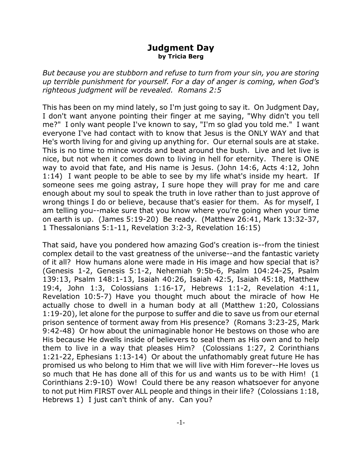## **Judgment Day by Tricia Berg**

*But because you are stubborn and refuse to turn from your sin, you are storing up terrible punishment for yourself. For a day of anger is coming, when God's righteous judgment will be revealed. Romans 2:5*

This has been on my mind lately, so I'm just going to say it. On Judgment Day, I don't want anyone pointing their finger at me saying, "Why didn't you tell me?" I only want people I've known to say, "I'm so glad you told me." I want everyone I've had contact with to know that Jesus is the ONLY WAY and that He's worth living for and giving up anything for. Our eternal souls are at stake. This is no time to mince words and beat around the bush. Live and let live is nice, but not when it comes down to living in hell for eternity. There is ONE way to avoid that fate, and His name is Jesus. (John 14:6, Acts 4:12, John 1:14) I want people to be able to see by my life what's inside my heart. If someone sees me going astray, I sure hope they will pray for me and care enough about my soul to speak the truth in love rather than to just approve of wrong things I do or believe, because that's easier for them. As for myself, I am telling you--make sure that you know where you're going when your time on earth is up. (James 5:19-20) Be ready. (Matthew 26:41, Mark 13:32-37, 1 Thessalonians 5:1-11, Revelation 3:2-3, Revelation 16:15)

That said, have you pondered how amazing God's creation is--from the tiniest complex detail to the vast greatness of the universe--and the fantastic variety of it all? How humans alone were made in His image and how special that is? (Genesis 1-2, Genesis 5:1-2, Nehemiah 9:5b-6, Psalm 104:24-25, Psalm 139:13, Psalm 148:1-13, Isaiah 40:26, Isaiah 42:5, Isaiah 45:18, Matthew 19:4, John 1:3, Colossians 1:16-17, Hebrews 1:1-2, Revelation 4:11, Revelation 10:5-7) Have you thought much about the miracle of how He actually chose to dwell in a human body at all (Matthew 1:20, Colossians 1:19-20), let alone for the purpose to suffer and die to save us from our eternal prison sentence of torment away from His presence? (Romans 3:23-25, Mark 9:42-48) Or how about the unimaginable honor He bestows on those who are His because He dwells inside of believers to seal them as His own and to help them to live in a way that pleases Him? (Colossians 1:27, 2 Corinthians 1:21-22, Ephesians 1:13-14) Or about the unfathomably great future He has promised us who belong to Him that we will live with Him forever--He loves us so much that He has done all of this for us and wants us to be with Him! (1 Corinthians 2:9-10) Wow! Could there be any reason whatsoever for anyone to not put Him FIRST over ALL people and things in their life? (Colossians 1:18, Hebrews 1) I just can't think of any. Can you?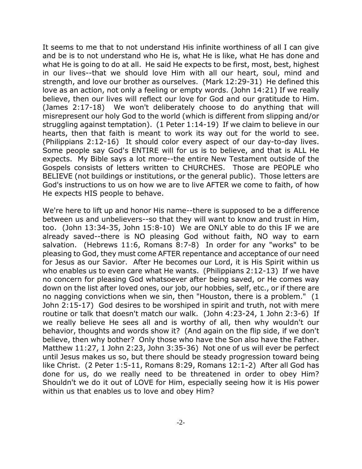It seems to me that to not understand His infinite worthiness of all I can give and be is to not understand who He is, what He is like, what He has done and what He is going to do at all. He said He expects to be first, most, best, highest in our lives--that we should love Him with all our heart, soul, mind and strength, and love our brother as ourselves. (Mark 12:29-31) He defined this love as an action, not only a feeling or empty words. (John 14:21) If we really believe, then our lives will reflect our love for God and our gratitude to Him. (James 2:17-18) We won't deliberately choose to do anything that will misrepresent our holy God to the world (which is different from slipping and/or struggling against temptation). (1 Peter 1:14-19) If we claim to believe in our hearts, then that faith is meant to work its way out for the world to see. (Philippians 2:12-16) It should color every aspect of our day-to-day lives. Some people say God's ENTIRE will for us is to believe, and that is ALL He expects. My Bible says a lot more--the entire New Testament outside of the Gospels consists of letters written to CHURCHES. Those are PEOPLE who BELIEVE (not buildings or institutions, or the general public). Those letters are God's instructions to us on how we are to live AFTER we come to faith, of how He expects HIS people to behave.

We're here to lift up and honor His name--there is supposed to be a difference between us and unbelievers--so that they will want to know and trust in Him, too. (John 13:34-35, John 15:8-10) We are ONLY able to do this IF we are already saved--there is NO pleasing God without faith, NO way to earn salvation. (Hebrews 11:6, Romans 8:7-8) In order for any "works" to be pleasing to God, they must come AFTER repentance and acceptance of our need for Jesus as our Savior. After He becomes our Lord, it is His Spirit within us who enables us to even care what He wants. (Philippians 2:12-13) If we have no concern for pleasing God whatsoever after being saved, or He comes way down on the list after loved ones, our job, our hobbies, self, etc., or if there are no nagging convictions when we sin, then "Houston, there is a problem." (1 John 2:15-17) God desires to be worshiped in spirit and truth, not with mere routine or talk that doesn't match our walk. (John 4:23-24, 1 John 2:3-6) If we really believe He sees all and is worthy of all, then why wouldn't our behavior, thoughts and words show it? (And again on the flip side, if we don't believe, then why bother? Only those who have the Son also have the Father. Matthew 11:27, 1 John 2:23, John 3:35-36) Not one of us will ever be perfect until Jesus makes us so, but there should be steady progression toward being like Christ. (2 Peter 1:5-11, Romans 8:29, Romans 12:1-2) After all God has done for us, do we really need to be threatened in order to obey Him? Shouldn't we do it out of LOVE for Him, especially seeing how it is His power within us that enables us to love and obey Him?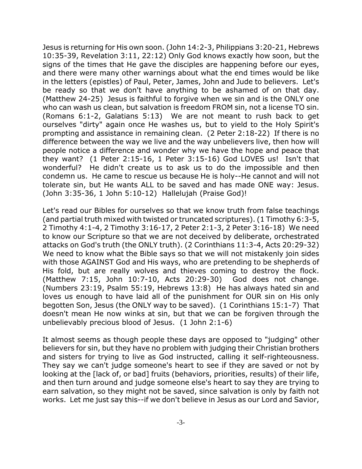Jesus is returning for His own soon. (John 14:2-3, Philippians 3:20-21, Hebrews 10:35-39, Revelation 3:11, 22:12) Only God knows exactly how soon, but the signs of the times that He gave the disciples are happening before our eyes, and there were many other warnings about what the end times would be like in the letters (epistles) of Paul, Peter, James, John and Jude to believers. Let's be ready so that we don't have anything to be ashamed of on that day. (Matthew 24-25) Jesus is faithful to forgive when we sin and is the ONLY one who can wash us clean, but salvation is freedom FROM sin, not a license TO sin. (Romans 6:1-2, Galatians 5:13) We are not meant to rush back to get ourselves "dirty" again once He washes us, but to yield to the Holy Spirit's prompting and assistance in remaining clean. (2 Peter 2:18-22) If there is no difference between the way we live and the way unbelievers live, then how will people notice a difference and wonder why we have the hope and peace that they want? (1 Peter 2:15-16, 1 Peter 3:15-16) God LOVES us! Isn't that wonderful? He didn't create us to ask us to do the impossible and then condemn us. He came to rescue us because He is holy--He cannot and will not tolerate sin, but He wants ALL to be saved and has made ONE way: Jesus. (John 3:35-36, 1 John 5:10-12) Hallelujah (Praise God)!

Let's read our Bibles for ourselves so that we know truth from false teachings (and partial truth mixed with twisted or truncated scriptures). (1 Timothy 6:3-5, 2 Timothy 4:1-4, 2 Timothy 3:16-17, 2 Peter 2:1-3, 2 Peter 3:16-18) We need to know our Scripture so that we are not deceived by deliberate, orchestrated attacks on God's truth (the ONLY truth). (2 Corinthians 11:3-4, Acts 20:29-32) We need to know what the Bible says so that we will not mistakenly join sides with those AGAINST God and His ways, who are pretending to be shepherds of His fold, but are really wolves and thieves coming to destroy the flock. (Matthew 7:15, John 10:7-10, Acts 20:29-30) God does not change. (Numbers 23:19, Psalm 55:19, Hebrews 13:8) He has always hated sin and loves us enough to have laid all of the punishment for OUR sin on His only begotten Son, Jesus (the ONLY way to be saved). (1 Corinthians 15:1-7) That doesn't mean He now winks at sin, but that we can be forgiven through the unbelievably precious blood of Jesus. (1 John 2:1-6)

It almost seems as though people these days are opposed to "judging" other believers for sin, but they have no problem with judging their Christian brothers and sisters for trying to live as God instructed, calling it self-righteousness. They say we can't judge someone's heart to see if they are saved or not by looking at the [lack of, or bad] fruits (behaviors, priorities, results) of their life, and then turn around and judge someone else's heart to say they are trying to earn salvation, so they might not be saved, since salvation is only by faith not works. Let me just say this--if we don't believe in Jesus as our Lord and Savior,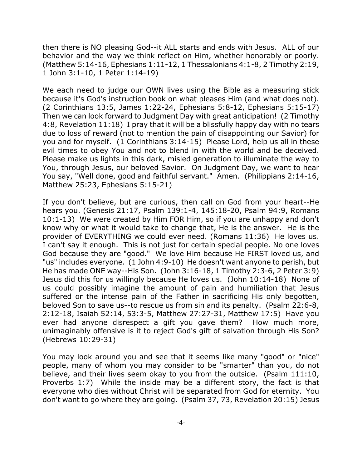then there is NO pleasing God--it ALL starts and ends with Jesus. ALL of our behavior and the way we think reflect on Him, whether honorably or poorly. (Matthew 5:14-16, Ephesians 1:11-12, 1 Thessalonians 4:1-8, 2 Timothy 2:19, 1 John 3:1-10, 1 Peter 1:14-19)

We each need to judge our OWN lives using the Bible as a measuring stick because it's God's instruction book on what pleases Him (and what does not). (2 Corinthians 13:5, James 1:22-24, Ephesians 5:8-12, Ephesians 5:15-17) Then we can look forward to Judgment Day with great anticipation! (2 Timothy 4:8, Revelation 11:18) I pray that it will be a blissfully happy day with no tears due to loss of reward (not to mention the pain of disappointing our Savior) for you and for myself. (1 Corinthians 3:14-15) Please Lord, help us all in these evil times to obey You and not to blend in with the world and be deceived. Please make us lights in this dark, misled generation to illuminate the way to You, through Jesus, our beloved Savior. On Judgment Day, we want to hear You say, "Well done, good and faithful servant." Amen. (Philippians 2:14-16, Matthew 25:23, Ephesians 5:15-21)

If you don't believe, but are curious, then call on God from your heart--He hears you. (Genesis 21:17, Psalm 139:1-4, 145:18-20, Psalm 94:9, Romans 10:1-13) We were created by Him FOR Him, so if you are unhappy and don't know why or what it would take to change that, He is the answer. He is the provider of EVERYTHING we could ever need. (Romans 11:36) He loves us. I can't say it enough. This is not just for certain special people. No one loves God because they are "good." We love Him because He FIRST loved us, and "us" includes everyone. (1 John 4:9-10) He doesn't want anyone to perish, but He has made ONE way--His Son. (John 3:16-18, 1 Timothy 2:3-6, 2 Peter 3:9) Jesus did this for us willingly because He loves us. (John 10:14-18) None of us could possibly imagine the amount of pain and humiliation that Jesus suffered or the intense pain of the Father in sacrificing His only begotten, beloved Son to save us--to rescue us from sin and its penalty. (Psalm 22:6-8, 2:12-18, Isaiah 52:14, 53:3-5, Matthew 27:27-31, Matthew 17:5) Have you ever had anyone disrespect a gift you gave them? How much more, unimaginably offensive is it to reject God's gift of salvation through His Son? (Hebrews 10:29-31)

You may look around you and see that it seems like many "good" or "nice" people, many of whom you may consider to be "smarter" than you, do not believe, and their lives seem okay to you from the outside. (Psalm 111:10, Proverbs 1:7) While the inside may be a different story, the fact is that everyone who dies without Christ will be separated from God for eternity. You don't want to go where they are going. (Psalm 37, 73, Revelation 20:15) Jesus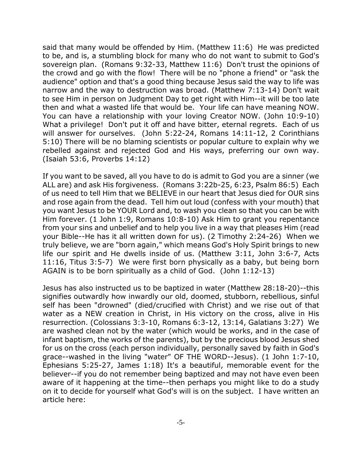said that many would be offended by Him. (Matthew 11:6) He was predicted to be, and is, a stumbling block for many who do not want to submit to God's sovereign plan. (Romans 9:32-33, Matthew 11:6) Don't trust the opinions of the crowd and go with the flow! There will be no "phone a friend" or "ask the audience" option and that's a good thing because Jesus said the way to life was narrow and the way to destruction was broad. (Matthew 7:13-14) Don't wait to see Him in person on Judgment Day to get right with Him--it will be too late then and what a wasted life that would be. Your life can have meaning NOW. You can have a relationship with your loving Creator NOW. (John 10:9-10) What a privilege! Don't put it off and have bitter, eternal regrets. Each of us will answer for ourselves. (John 5:22-24, Romans 14:11-12, 2 Corinthians 5:10) There will be no blaming scientists or popular culture to explain why we rebelled against and rejected God and His ways, preferring our own way. (Isaiah 53:6, Proverbs 14:12)

If you want to be saved, all you have to do is admit to God you are a sinner (we ALL are) and ask His forgiveness. (Romans 3:22b-25, 6:23, Psalm 86:5) Each of us need to tell Him that we BELIEVE in our heart that Jesus died for OUR sins and rose again from the dead. Tell him out loud (confess with your mouth) that you want Jesus to be YOUR Lord and, to wash you clean so that you can be with Him forever. (1 John 1:9, Romans 10:8-10) Ask Him to grant you repentance from your sins and unbelief and to help you live in a way that pleases Him (read your Bible--He has it all written down for us). (2 Timothy 2:24-26) When we truly believe, we are "born again," which means God's Holy Spirit brings to new life our spirit and He dwells inside of us. (Matthew 3:11, John 3:6-7, Acts 11:16, Titus 3:5-7) We were first born physically as a baby, but being born AGAIN is to be born spiritually as a child of God. (John 1:12-13)

Jesus has also instructed us to be baptized in water (Matthew 28:18-20)--this signifies outwardly how inwardly our old, doomed, stubborn, rebellious, sinful self has been "drowned" (died/crucified with Christ) and we rise out of that water as a NEW creation in Christ, in His victory on the cross, alive in His resurrection. (Colossians 3:3-10, Romans 6:3-12, 13:14, Galatians 3:27) We are washed clean not by the water (which would be works, and in the case of infant baptism, the works of the parents), but by the precious blood Jesus shed for us on the cross (each person individually, personally saved by faith in God's grace--washed in the living "water" OF THE WORD--Jesus). (1 John 1:7-10, Ephesians 5:25-27, James 1:18) It's a beautiful, memorable event for the believer--if you do not remember being baptized and may not have even been aware of it happening at the time--then perhaps you might like to do a study on it to decide for yourself what God's will is on the subject. I have written an article here: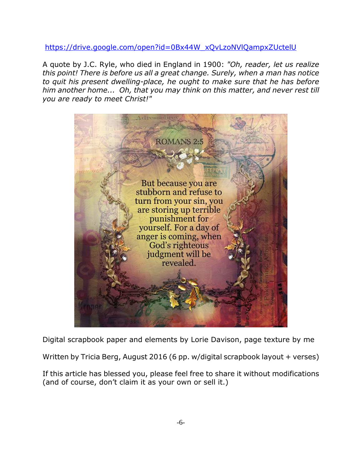https://drive.google.com/open?id=0Bx44W\_xQvLzoNVlQampxZUctelU

A quote by J.C. Ryle, who died in England in 1900: *"Oh, reader, let us realize this point! There is before us all a great change. Surely, when a man has notice to quit his present dwelling-place, he ought to make sure that he has before him another home... Oh, that you may think on this matter, and never rest till you are ready to meet Christ!"*



Digital scrapbook paper and elements by Lorie Davison, page texture by me

Written by Tricia Berg, August 2016 (6 pp. w/digital scrapbook layout + verses)

If this article has blessed you, please feel free to share it without modifications (and of course, don't claim it as your own or sell it.)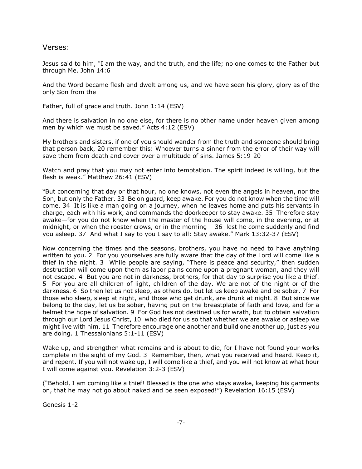Verses:

Jesus said to him, "I am the way, and the truth, and the life; no one comes to the Father but through Me. John 14:6

And the Word became flesh and dwelt among us, and we have seen his glory, glory as of the only Son from the

Father, full of grace and truth. John 1:14 (ESV)

And there is salvation in no one else, for there is no other name under heaven given among men by which we must be saved." Acts 4:12 (ESV)

My brothers and sisters, if one of you should wander from the truth and someone should bring that person back, 20 remember this: Whoever turns a sinner from the error of their way will save them from death and cover over a multitude of sins. James 5:19-20

Watch and pray that you may not enter into temptation. The spirit indeed is willing, but the flesh is weak." Matthew 26:41 (ESV)

"But concerning that day or that hour, no one knows, not even the angels in heaven, nor the Son, but only the Father. 33 Be on guard, keep awake. For you do not know when the time will come. 34 It is like a man going on a journey, when he leaves home and puts his servants in charge, each with his work, and commands the doorkeeper to stay awake. 35 Therefore stay awake—for you do not know when the master of the house will come, in the evening, or at midnight, or when the rooster crows, or in the morning— 36 lest he come suddenly and find you asleep. 37 And what I say to you I say to all: Stay awake." Mark 13:32-37 (ESV)

Now concerning the times and the seasons, brothers, you have no need to have anything written to you. 2 For you yourselves are fully aware that the day of the Lord will come like a thief in the night. 3 While people are saying, "There is peace and security," then sudden destruction will come upon them as labor pains come upon a pregnant woman, and they will not escape. 4 But you are not in darkness, brothers, for that day to surprise you like a thief. 5 For you are all children of light, children of the day. We are not of the night or of the darkness. 6 So then let us not sleep, as others do, but let us keep awake and be sober. 7 For those who sleep, sleep at night, and those who get drunk, are drunk at night. 8 But since we belong to the day, let us be sober, having put on the breastplate of faith and love, and for a helmet the hope of salvation. 9 For God has not destined us for wrath, but to obtain salvation through our Lord Jesus Christ, 10 who died for us so that whether we are awake or asleep we might live with him. 11 Therefore encourage one another and build one another up, just as you are doing. 1 Thessalonians 5:1-11 (ESV)

Wake up, and strengthen what remains and is about to die, for I have not found your works complete in the sight of my God. 3 Remember, then, what you received and heard. Keep it, and repent. If you will not wake up, I will come like a thief, and you will not know at what hour I will come against you. Revelation 3:2-3 (ESV)

("Behold, I am coming like a thief! Blessed is the one who stays awake, keeping his garments on, that he may not go about naked and be seen exposed!") Revelation 16:15 (ESV)

Genesis 1-2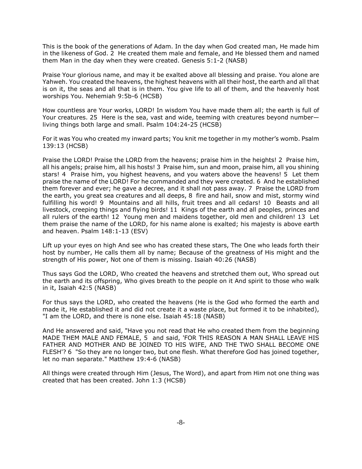This is the book of the generations of Adam. In the day when God created man, He made him in the likeness of God. 2 He created them male and female, and He blessed them and named them Man in the day when they were created. Genesis 5:1-2 (NASB)

Praise Your glorious name, and may it be exalted above all blessing and praise. You alone are Yahweh. You created the heavens, the highest heavens with all their host, the earth and all that is on it, the seas and all that is in them. You give life to all of them, and the heavenly host worships You. Nehemiah 9:5b-6 (HCSB)

How countless are Your works, LORD! In wisdom You have made them all; the earth is full of Your creatures. 25 Here is the sea, vast and wide, teeming with creatures beyond number living things both large and small. Psalm 104:24-25 (HCSB)

For it was You who created my inward parts; You knit me together in my mother's womb. Psalm 139:13 (HCSB)

Praise the LORD! Praise the LORD from the heavens; praise him in the heights! 2 Praise him, all his angels; praise him, all his hosts! 3 Praise him, sun and moon, praise him, all you shining stars! 4 Praise him, you highest heavens, and you waters above the heavens! 5 Let them praise the name of the LORD! For he commanded and they were created. 6 And he established them forever and ever; he gave a decree, and it shall not pass away. 7 Praise the LORD from the earth, you great sea creatures and all deeps, 8 fire and hail, snow and mist, stormy wind fulfilling his word! 9 Mountains and all hills, fruit trees and all cedars! 10 Beasts and all livestock, creeping things and flying birds! 11 Kings of the earth and all peoples, princes and all rulers of the earth! 12 Young men and maidens together, old men and children! 13 Let them praise the name of the LORD, for his name alone is exalted; his majesty is above earth and heaven. Psalm 148:1-13 (ESV)

Lift up your eyes on high And see who has created these stars, The One who leads forth their host by number, He calls them all by name; Because of the greatness of His might and the strength of His power, Not one of them is missing. Isaiah 40:26 (NASB)

Thus says God the LORD, Who created the heavens and stretched them out, Who spread out the earth and its offspring, Who gives breath to the people on it And spirit to those who walk in it, Isaiah 42:5 (NASB)

For thus says the LORD, who created the heavens (He is the God who formed the earth and made it, He established it and did not create it a waste place, but formed it to be inhabited), "I am the LORD, and there is none else. Isaiah 45:18 (NASB)

And He answered and said, "Have you not read that He who created them from the beginning MADE THEM MALE AND FEMALE, 5 and said, 'FOR THIS REASON A MAN SHALL LEAVE HIS FATHER AND MOTHER AND BE JOINED TO HIS WIFE, AND THE TWO SHALL BECOME ONE FLESH'? 6 "So they are no longer two, but one flesh. What therefore God has joined together, let no man separate." Matthew 19:4-6 (NASB)

All things were created through Him (Jesus, The Word), and apart from Him not one thing was created that has been created. John 1:3 (HCSB)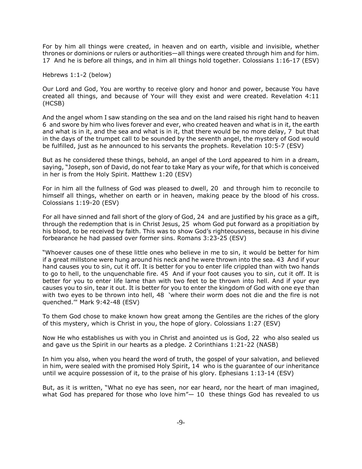For by him all things were created, in heaven and on earth, visible and invisible, whether thrones or dominions or rulers or authorities—all things were created through him and for him. 17 And he is before all things, and in him all things hold together. Colossians 1:16-17 (ESV)

Hebrews 1:1-2 (below)

Our Lord and God, You are worthy to receive glory and honor and power, because You have created all things, and because of Your will they exist and were created. Revelation 4:11 (HCSB)

And the angel whom I saw standing on the sea and on the land raised his right hand to heaven 6 and swore by him who lives forever and ever, who created heaven and what is in it, the earth and what is in it, and the sea and what is in it, that there would be no more delay, 7 but that in the days of the trumpet call to be sounded by the seventh angel, the mystery of God would be fulfilled, just as he announced to his servants the prophets. Revelation 10:5-7 (ESV)

But as he considered these things, behold, an angel of the Lord appeared to him in a dream, saying, "Joseph, son of David, do not fear to take Mary as your wife, for that which is conceived in her is from the Holy Spirit. Matthew 1:20 (ESV)

For in him all the fullness of God was pleased to dwell, 20 and through him to reconcile to himself all things, whether on earth or in heaven, making peace by the blood of his cross. Colossians 1:19-20 (ESV)

For all have sinned and fall short of the glory of God, 24 and are justified by his grace as a gift, through the redemption that is in Christ Jesus, 25 whom God put forward as a propitiation by his blood, to be received by faith. This was to show God's righteousness, because in his divine forbearance he had passed over former sins. Romans 3:23-25 (ESV)

"Whoever causes one of these little ones who believe in me to sin, it would be better for him if a great millstone were hung around his neck and he were thrown into the sea. 43 And if your hand causes you to sin, cut it off. It is better for you to enter life crippled than with two hands to go to hell, to the unquenchable fire. 45 And if your foot causes you to sin, cut it off. It is better for you to enter life lame than with two feet to be thrown into hell. And if your eye causes you to sin, tear it out. It is better for you to enter the kingdom of God with one eye than with two eyes to be thrown into hell, 48 'where their worm does not die and the fire is not quenched.'" Mark 9:42-48 (ESV)

To them God chose to make known how great among the Gentiles are the riches of the glory of this mystery, which is Christ in you, the hope of glory. Colossians 1:27 (ESV)

Now He who establishes us with you in Christ and anointed us is God, 22 who also sealed us and gave us the Spirit in our hearts as a pledge. 2 Corinthians 1:21-22 (NASB)

In him you also, when you heard the word of truth, the gospel of your salvation, and believed in him, were sealed with the promised Holy Spirit, 14 who is the guarantee of our inheritance until we acquire possession of it, to the praise of his glory. Ephesians 1:13-14 (ESV)

But, as it is written, "What no eye has seen, nor ear heard, nor the heart of man imagined, what God has prepared for those who love him" $-10$  these things God has revealed to us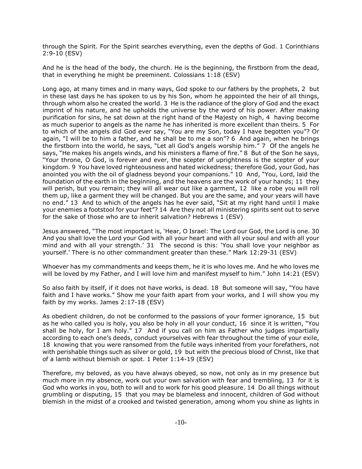through the Spirit. For the Spirit searches everything, even the depths of God. 1 Corinthians 2:9-10 (ESV)

And he is the head of the body, the church. He is the beginning, the firstborn from the dead, that in everything he might be preeminent. Colossians 1:18 (ESV)

Long ago, at many times and in many ways, God spoke to our fathers by the prophets, 2 but in these last days he has spoken to us by his Son, whom he appointed the heir of all things, through whom also he created the world. 3 He is the radiance of the glory of God and the exact imprint of his nature, and he upholds the universe by the word of his power. After making purification for sins, he sat down at the right hand of the Majesty on high, 4 having become as much superior to angels as the name he has inherited is more excellent than theirs. 5 For to which of the angels did God ever say, "You are my Son, today I have begotten you"? Or again, "I will be to him a father, and he shall be to me a son"? 6 And again, when he brings the firstborn into the world, he says, "Let all God's angels worship him." 7 Of the angels he says, "He makes his angels winds, and his ministers a flame of fire." 8 But of the Son he says, "Your throne, O God, is forever and ever, the scepter of uprightness is the scepter of your kingdom. 9 You have loved righteousness and hated wickedness; therefore God, your God, has anointed you with the oil of gladness beyond your companions." 10 And, "You, Lord, laid the foundation of the earth in the beginning, and the heavens are the work of your hands; 11 they will perish, but you remain; they will all wear out like a garment, 12 like a robe you will roll them up, like a garment they will be changed. But you are the same, and your years will have no end." 13 And to which of the angels has he ever said, "Sit at my right hand until I make your enemies a footstool for your feet"? 14 Are they not all ministering spirits sent out to serve for the sake of those who are to inherit salvation? Hebrews 1 (ESV)

Jesus answered, "The most important is, 'Hear, O Israel: The Lord our God, the Lord is one. 30 And you shall love the Lord your God with all your heart and with all your soul and with all your mind and with all your strength.' 31 The second is this: 'You shall love your neighbor as yourself.' There is no other commandment greater than these." Mark 12:29-31 (ESV)

Whoever has my commandments and keeps them, he it is who loves me. And he who loves me will be loved by my Father, and I will love him and manifest myself to him." John 14:21 (ESV)

So also faith by itself, if it does not have works, is dead. 18 But someone will say, "You have faith and I have works." Show me your faith apart from your works, and I will show you my faith by my works. James 2:17-18 (ESV)

As obedient children, do not be conformed to the passions of your former ignorance, 15 but as he who called you is holy, you also be holy in all your conduct, 16 since it is written, "You shall be holy, for I am holy." 17 And if you call on him as Father who judges impartially according to each one's deeds, conduct yourselves with fear throughout the time of your exile, 18 knowing that you were ransomed from the futile ways inherited from your forefathers, not with perishable things such as silver or gold, 19 but with the precious blood of Christ, like that of a lamb without blemish or spot. 1 Peter 1:14-19 (ESV)

Therefore, my beloved, as you have always obeyed, so now, not only as in my presence but much more in my absence, work out your own salvation with fear and trembling, 13 for it is God who works in you, both to will and to work for his good pleasure. 14 Do all things without grumbling or disputing, 15 that you may be blameless and innocent, children of God without blemish in the midst of a crooked and twisted generation, among whom you shine as lights in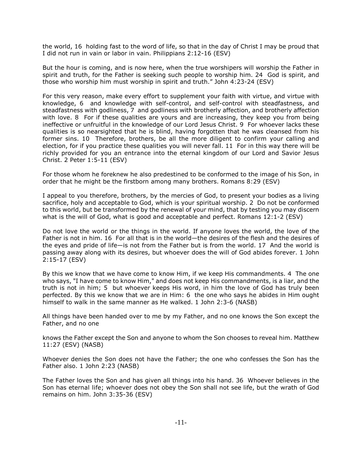the world, 16 holding fast to the word of life, so that in the day of Christ I may be proud that I did not run in vain or labor in vain. Philippians 2:12-16 (ESV)

But the hour is coming, and is now here, when the true worshipers will worship the Father in spirit and truth, for the Father is seeking such people to worship him. 24 God is spirit, and those who worship him must worship in spirit and truth." John 4:23-24 (ESV)

For this very reason, make every effort to supplement your faith with virtue, and virtue with knowledge, 6 and knowledge with self-control, and self-control with steadfastness, and steadfastness with godliness, 7 and godliness with brotherly affection, and brotherly affection with love. 8 For if these qualities are yours and are increasing, they keep you from being ineffective or unfruitful in the knowledge of our Lord Jesus Christ. 9 For whoever lacks these qualities is so nearsighted that he is blind, having forgotten that he was cleansed from his former sins. 10 Therefore, brothers, be all the more diligent to confirm your calling and election, for if you practice these qualities you will never fall. 11 For in this way there will be richly provided for you an entrance into the eternal kingdom of our Lord and Savior Jesus Christ. 2 Peter 1:5-11 (ESV)

For those whom he foreknew he also predestined to be conformed to the image of his Son, in order that he might be the firstborn among many brothers. Romans 8:29 (ESV)

I appeal to you therefore, brothers, by the mercies of God, to present your bodies as a living sacrifice, holy and acceptable to God, which is your spiritual worship. 2 Do not be conformed to this world, but be transformed by the renewal of your mind, that by testing you may discern what is the will of God, what is good and acceptable and perfect. Romans 12:1-2 (ESV)

Do not love the world or the things in the world. If anyone loves the world, the love of the Father is not in him. 16 For all that is in the world—the desires of the flesh and the desires of the eyes and pride of life—is not from the Father but is from the world. 17 And the world is passing away along with its desires, but whoever does the will of God abides forever. 1 John 2:15-17 (ESV)

By this we know that we have come to know Him, if we keep His commandments. 4 The one who says, "I have come to know Him," and does not keep His commandments, is a liar, and the truth is not in him; 5 but whoever keeps His word, in him the love of God has truly been perfected. By this we know that we are in Him: 6 the one who says he abides in Him ought himself to walk in the same manner as He walked. 1 John 2:3-6 (NASB)

All things have been handed over to me by my Father, and no one knows the Son except the Father, and no one

knows the Father except the Son and anyone to whom the Son chooses to reveal him. Matthew 11:27 (ESV) (NASB)

Whoever denies the Son does not have the Father; the one who confesses the Son has the Father also. 1 John 2:23 (NASB)

The Father loves the Son and has given all things into his hand. 36 Whoever believes in the Son has eternal life; whoever does not obey the Son shall not see life, but the wrath of God remains on him. John 3:35-36 (ESV)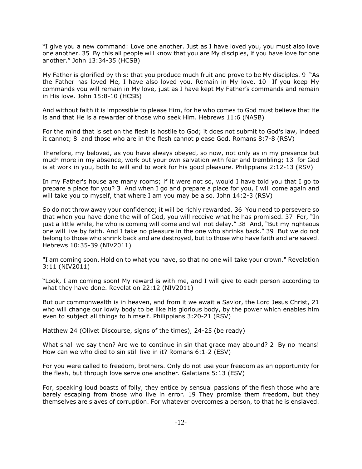"I give you a new command: Love one another. Just as I have loved you, you must also love one another. 35 By this all people will know that you are My disciples, if you have love for one another." John 13:34-35 (HCSB)

My Father is glorified by this: that you produce much fruit and prove to be My disciples. 9 "As the Father has loved Me, I have also loved you. Remain in My love. 10 If you keep My commands you will remain in My love, just as I have kept My Father's commands and remain in His love. John 15:8-10 (HCSB)

And without faith it is impossible to please Him, for he who comes to God must believe that He is and that He is a rewarder of those who seek Him. Hebrews 11:6 (NASB)

For the mind that is set on the flesh is hostile to God; it does not submit to God's law, indeed it cannot; 8 and those who are in the flesh cannot please God. Romans 8:7-8 (RSV)

Therefore, my beloved, as you have always obeyed, so now, not only as in my presence but much more in my absence, work out your own salvation with fear and trembling; 13 for God is at work in you, both to will and to work for his good pleasure. Philippians 2:12-13 (RSV)

In my Father's house are many rooms; if it were not so, would I have told you that I go to prepare a place for you? 3 And when I go and prepare a place for you, I will come again and will take you to myself, that where I am you may be also. John 14:2-3 (RSV)

So do not throw away your confidence; it will be richly rewarded. 36 You need to persevere so that when you have done the will of God, you will receive what he has promised. 37 For, "In just a little while, he who is coming will come and will not delay." 38 And, "But my righteous one will live by faith. And I take no pleasure in the one who shrinks back." 39 But we do not belong to those who shrink back and are destroyed, but to those who have faith and are saved. Hebrews 10:35-39 (NIV2011)

"I am coming soon. Hold on to what you have, so that no one will take your crown." Revelation 3:11 (NIV2011)

"Look, I am coming soon! My reward is with me, and I will give to each person according to what they have done. Revelation 22:12 (NIV2011)

But our commonwealth is in heaven, and from it we await a Savior, the Lord Jesus Christ, 21 who will change our lowly body to be like his glorious body, by the power which enables him even to subject all things to himself. Philippians 3:20-21 (RSV)

Matthew 24 (Olivet Discourse, signs of the times), 24-25 (be ready)

What shall we say then? Are we to continue in sin that grace may abound? 2 By no means! How can we who died to sin still live in it? Romans 6:1-2 (ESV)

For you were called to freedom, brothers. Only do not use your freedom as an opportunity for the flesh, but through love serve one another. Galatians 5:13 (ESV)

For, speaking loud boasts of folly, they entice by sensual passions of the flesh those who are barely escaping from those who live in error. 19 They promise them freedom, but they themselves are slaves of corruption. For whatever overcomes a person, to that he is enslaved.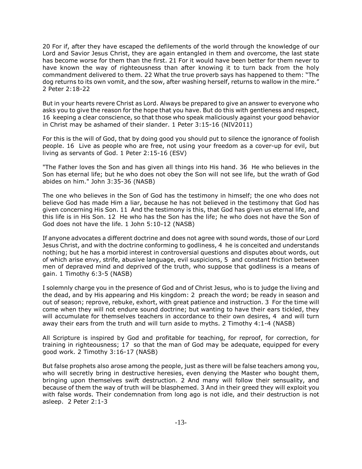20 For if, after they have escaped the defilements of the world through the knowledge of our Lord and Savior Jesus Christ, they are again entangled in them and overcome, the last state has become worse for them than the first. 21 For it would have been better for them never to have known the way of righteousness than after knowing it to turn back from the holy commandment delivered to them. 22 What the true proverb says has happened to them: "The dog returns to its own vomit, and the sow, after washing herself, returns to wallow in the mire." 2 Peter 2:18-22

But in your hearts revere Christ as Lord. Always be prepared to give an answer to everyone who asks you to give the reason for the hope that you have. But do this with gentleness and respect, 16 keeping a clear conscience, so that those who speak maliciously against your good behavior in Christ may be ashamed of their slander. 1 Peter 3:15-16 (NIV2011)

For this is the will of God, that by doing good you should put to silence the ignorance of foolish people. 16 Live as people who are free, not using your freedom as a cover-up for evil, but living as servants of God. 1 Peter 2:15-16 (ESV)

"The Father loves the Son and has given all things into His hand. 36 He who believes in the Son has eternal life; but he who does not obey the Son will not see life, but the wrath of God abides on him." John 3:35-36 (NASB)

The one who believes in the Son of God has the testimony in himself; the one who does not believe God has made Him a liar, because he has not believed in the testimony that God has given concerning His Son. 11 And the testimony is this, that God has given us eternal life, and this life is in His Son. 12 He who has the Son has the life; he who does not have the Son of God does not have the life. 1 John 5:10-12 (NASB)

If anyone advocates a different doctrine and does not agree with sound words, those of our Lord Jesus Christ, and with the doctrine conforming to godliness, 4 he is conceited and understands nothing; but he has a morbid interest in controversial questions and disputes about words, out of which arise envy, strife, abusive language, evil suspicions, 5 and constant friction between men of depraved mind and deprived of the truth, who suppose that godliness is a means of gain. 1 Timothy 6:3-5 (NASB)

I solemnly charge you in the presence of God and of Christ Jesus, who is to judge the living and the dead, and by His appearing and His kingdom: 2 preach the word; be ready in season and out of season; reprove, rebuke, exhort, with great patience and instruction. 3 For the time will come when they will not endure sound doctrine; but wanting to have their ears tickled, they will accumulate for themselves teachers in accordance to their own desires, 4 and will turn away their ears from the truth and will turn aside to myths. 2 Timothy 4:1-4 (NASB)

All Scripture is inspired by God and profitable for teaching, for reproof, for correction, for training in righteousness; 17 so that the man of God may be adequate, equipped for every good work. 2 Timothy 3:16-17 (NASB)

But false prophets also arose among the people, just as there will be false teachers among you, who will secretly bring in destructive heresies, even denying the Master who bought them, bringing upon themselves swift destruction. 2 And many will follow their sensuality, and because of them the way of truth will be blasphemed. 3 And in their greed they will exploit you with false words. Their condemnation from long ago is not idle, and their destruction is not asleep. 2 Peter 2:1-3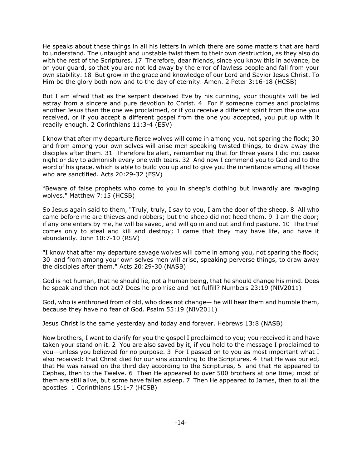He speaks about these things in all his letters in which there are some matters that are hard to understand. The untaught and unstable twist them to their own destruction, as they also do with the rest of the Scriptures. 17 Therefore, dear friends, since you know this in advance, be on your guard, so that you are not led away by the error of lawless people and fall from your own stability. 18 But grow in the grace and knowledge of our Lord and Savior Jesus Christ. To Him be the glory both now and to the day of eternity. Amen. 2 Peter 3:16-18 (HCSB)

But I am afraid that as the serpent deceived Eve by his cunning, your thoughts will be led astray from a sincere and pure devotion to Christ. 4 For if someone comes and proclaims another Jesus than the one we proclaimed, or if you receive a different spirit from the one you received, or if you accept a different gospel from the one you accepted, you put up with it readily enough. 2 Corinthians 11:3-4 (ESV)

I know that after my departure fierce wolves will come in among you, not sparing the flock; 30 and from among your own selves will arise men speaking twisted things, to draw away the disciples after them. 31 Therefore be alert, remembering that for three years I did not cease night or day to admonish every one with tears. 32 And now I commend you to God and to the word of his grace, which is able to build you up and to give you the inheritance among all those who are sanctified. Acts 20:29-32 (ESV)

"Beware of false prophets who come to you in sheep's clothing but inwardly are ravaging wolves." Matthew 7:15 (HCSB)

So Jesus again said to them, "Truly, truly, I say to you, I am the door of the sheep. 8 All who came before me are thieves and robbers; but the sheep did not heed them. 9 I am the door; if any one enters by me, he will be saved, and will go in and out and find pasture. 10 The thief comes only to steal and kill and destroy; I came that they may have life, and have it abundantly. John 10:7-10 (RSV)

"I know that after my departure savage wolves will come in among you, not sparing the flock; 30 and from among your own selves men will arise, speaking perverse things, to draw away the disciples after them." Acts 20:29-30 (NASB)

God is not human, that he should lie, not a human being, that he should change his mind. Does he speak and then not act? Does he promise and not fulfill? Numbers 23:19 (NIV2011)

God, who is enthroned from of old, who does not change— he will hear them and humble them, because they have no fear of God. Psalm 55:19 (NIV2011)

Jesus Christ is the same yesterday and today and forever. Hebrews 13:8 (NASB)

Now brothers, I want to clarify for you the gospel I proclaimed to you; you received it and have taken your stand on it. 2 You are also saved by it, if you hold to the message I proclaimed to you—unless you believed for no purpose. 3 For I passed on to you as most important what I also received: that Christ died for our sins according to the Scriptures, 4 that He was buried, that He was raised on the third day according to the Scriptures, 5 and that He appeared to Cephas, then to the Twelve. 6 Then He appeared to over 500 brothers at one time; most of them are still alive, but some have fallen asleep. 7 Then He appeared to James, then to all the apostles. 1 Corinthians 15:1-7 (HCSB)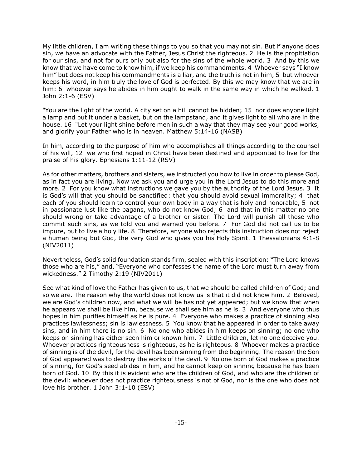My little children, I am writing these things to you so that you may not sin. But if anyone does sin, we have an advocate with the Father, Jesus Christ the righteous. 2 He is the propitiation for our sins, and not for ours only but also for the sins of the whole world. 3 And by this we know that we have come to know him, if we keep his commandments. 4 Whoever says "I know him" but does not keep his commandments is a liar, and the truth is not in him, 5 but whoever keeps his word, in him truly the love of God is perfected. By this we may know that we are in him: 6 whoever says he abides in him ought to walk in the same way in which he walked. 1 John 2:1-6 (ESV)

"You are the light of the world. A city set on a hill cannot be hidden; 15 nor does anyone light a lamp and put it under a basket, but on the lampstand, and it gives light to all who are in the house. 16 "Let your light shine before men in such a way that they may see your good works, and glorify your Father who is in heaven. Matthew 5:14-16 (NASB)

In him, according to the purpose of him who accomplishes all things according to the counsel of his will, 12 we who first hoped in Christ have been destined and appointed to live for the praise of his glory. Ephesians 1:11-12 (RSV)

As for other matters, brothers and sisters, we instructed you how to live in order to please God, as in fact you are living. Now we ask you and urge you in the Lord Jesus to do this more and more. 2 For you know what instructions we gave you by the authority of the Lord Jesus. 3 It is God's will that you should be sanctified: that you should avoid sexual immorality; 4 that each of you should learn to control your own body in a way that is holy and honorable, 5 not in passionate lust like the pagans, who do not know God; 6 and that in this matter no one should wrong or take advantage of a brother or sister. The Lord will punish all those who commit such sins, as we told you and warned you before. 7 For God did not call us to be impure, but to live a holy life. 8 Therefore, anyone who rejects this instruction does not reject a human being but God, the very God who gives you his Holy Spirit. 1 Thessalonians 4:1-8 (NIV2011)

Nevertheless, God's solid foundation stands firm, sealed with this inscription: "The Lord knows those who are his," and, "Everyone who confesses the name of the Lord must turn away from wickedness." 2 Timothy 2:19 (NIV2011)

See what kind of love the Father has given to us, that we should be called children of God; and so we are. The reason why the world does not know us is that it did not know him. 2 Beloved, we are God's children now, and what we will be has not yet appeared; but we know that when he appears we shall be like him, because we shall see him as he is. 3 And everyone who thus hopes in him purifies himself as he is pure. 4 Everyone who makes a practice of sinning also practices lawlessness; sin is lawlessness. 5 You know that he appeared in order to take away sins, and in him there is no sin. 6 No one who abides in him keeps on sinning; no one who keeps on sinning has either seen him or known him. 7 Little children, let no one deceive you. Whoever practices righteousness is righteous, as he is righteous. 8 Whoever makes a practice of sinning is of the devil, for the devil has been sinning from the beginning. The reason the Son of God appeared was to destroy the works of the devil. 9 No one born of God makes a practice of sinning, for God's seed abides in him, and he cannot keep on sinning because he has been born of God. 10 By this it is evident who are the children of God, and who are the children of the devil: whoever does not practice righteousness is not of God, nor is the one who does not love his brother. 1 John 3:1-10 (ESV)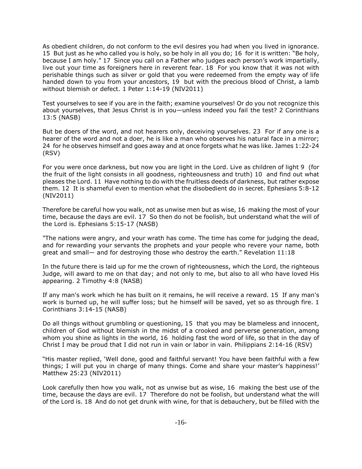As obedient children, do not conform to the evil desires you had when you lived in ignorance. 15 But just as he who called you is holy, so be holy in all you do; 16 for it is written: "Be holy, because I am holy." 17 Since you call on a Father who judges each person's work impartially, live out your time as foreigners here in reverent fear. 18 For you know that it was not with perishable things such as silver or gold that you were redeemed from the empty way of life handed down to you from your ancestors, 19 but with the precious blood of Christ, a lamb without blemish or defect. 1 Peter 1:14-19 (NIV2011)

Test yourselves to see if you are in the faith; examine yourselves! Or do you not recognize this about yourselves, that Jesus Christ is in you—unless indeed you fail the test? 2 Corinthians 13:5 (NASB)

But be doers of the word, and not hearers only, deceiving yourselves. 23 For if any one is a hearer of the word and not a doer, he is like a man who observes his natural face in a mirror; 24 for he observes himself and goes away and at once forgets what he was like. James 1:22-24 (RSV)

For you were once darkness, but now you are light in the Lord. Live as children of light 9 (for the fruit of the light consists in all goodness, righteousness and truth) 10 and find out what pleases the Lord. 11 Have nothing to do with the fruitless deeds of darkness, but rather expose them. 12 It is shameful even to mention what the disobedient do in secret. Ephesians 5:8-12 (NIV2011)

Therefore be careful how you walk, not as unwise men but as wise, 16 making the most of your time, because the days are evil. 17 So then do not be foolish, but understand what the will of the Lord is. Ephesians 5:15-17 (NASB)

"The nations were angry, and your wrath has come. The time has come for judging the dead, and for rewarding your servants the prophets and your people who revere your name, both great and small— and for destroying those who destroy the earth." Revelation 11:18

In the future there is laid up for me the crown of righteousness, which the Lord, the righteous Judge, will award to me on that day; and not only to me, but also to all who have loved His appearing. 2 Timothy 4:8 (NASB)

If any man's work which he has built on it remains, he will receive a reward. 15 If any man's work is burned up, he will suffer loss; but he himself will be saved, yet so as through fire. 1 Corinthians 3:14-15 (NASB)

Do all things without grumbling or questioning, 15 that you may be blameless and innocent, children of God without blemish in the midst of a crooked and perverse generation, among whom you shine as lights in the world, 16 holding fast the word of life, so that in the day of Christ I may be proud that I did not run in vain or labor in vain. Philippians 2:14-16 (RSV)

"His master replied, 'Well done, good and faithful servant! You have been faithful with a few things; I will put you in charge of many things. Come and share your master's happiness!' Matthew 25:23 (NIV2011)

Look carefully then how you walk, not as unwise but as wise, 16 making the best use of the time, because the days are evil. 17 Therefore do not be foolish, but understand what the will of the Lord is. 18 And do not get drunk with wine, for that is debauchery, but be filled with the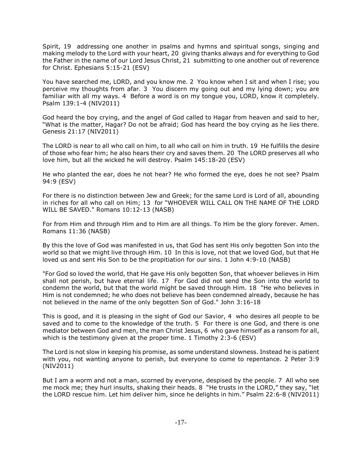Spirit, 19 addressing one another in psalms and hymns and spiritual songs, singing and making melody to the Lord with your heart, 20 giving thanks always and for everything to God the Father in the name of our Lord Jesus Christ, 21 submitting to one another out of reverence for Christ. Ephesians 5:15-21 (ESV)

You have searched me, LORD, and you know me. 2 You know when I sit and when I rise; you perceive my thoughts from afar. 3 You discern my going out and my lying down; you are familiar with all my ways. 4 Before a word is on my tongue you, LORD, know it completely. Psalm 139:1-4 (NIV2011)

God heard the boy crying, and the angel of God called to Hagar from heaven and said to her, "What is the matter, Hagar? Do not be afraid; God has heard the boy crying as he lies there. Genesis 21:17 (NIV2011)

The LORD is near to all who call on him, to all who call on him in truth. 19 He fulfills the desire of those who fear him; he also hears their cry and saves them. 20 The LORD preserves all who love him, but all the wicked he will destroy. Psalm 145:18-20 (ESV)

He who planted the ear, does he not hear? He who formed the eye, does he not see? Psalm 94:9 (ESV)

For there is no distinction between Jew and Greek; for the same Lord is Lord of all, abounding in riches for all who call on Him; 13 for "WHOEVER WILL CALL ON THE NAME OF THE LORD WILL BE SAVED." Romans 10:12-13 (NASB)

For from Him and through Him and to Him are all things. To Him be the glory forever. Amen. Romans 11:36 (NASB)

By this the love of God was manifested in us, that God has sent His only begotten Son into the world so that we might live through Him. 10 In this is love, not that we loved God, but that He loved us and sent His Son to be the propitiation for our sins. 1 John 4:9-10 (NASB)

"For God so loved the world, that He gave His only begotten Son, that whoever believes in Him shall not perish, but have eternal life. 17 For God did not send the Son into the world to condemn the world, but that the world might be saved through Him. 18 "He who believes in Him is not condemned; he who does not believe has been condemned already, because he has not believed in the name of the only begotten Son of God." John 3:16-18

This is good, and it is pleasing in the sight of God our Savior, 4 who desires all people to be saved and to come to the knowledge of the truth. 5 For there is one God, and there is one mediator between God and men, the man Christ Jesus, 6 who gave himself as a ransom for all, which is the testimony given at the proper time. 1 Timothy 2:3-6 (ESV)

The Lord is not slow in keeping his promise, as some understand slowness. Instead he is patient with you, not wanting anyone to perish, but everyone to come to repentance. 2 Peter 3:9 (NIV2011)

But I am a worm and not a man, scorned by everyone, despised by the people. 7 All who see me mock me; they hurl insults, shaking their heads. 8 "He trusts in the LORD," they say, "let the LORD rescue him. Let him deliver him, since he delights in him." Psalm 22:6-8 (NIV2011)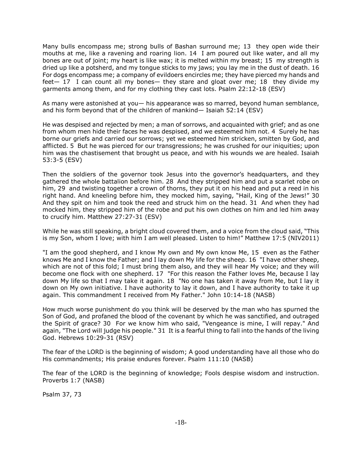Many bulls encompass me; strong bulls of Bashan surround me; 13 they open wide their mouths at me, like a ravening and roaring lion. 14 I am poured out like water, and all my bones are out of joint; my heart is like wax; it is melted within my breast; 15 my strength is dried up like a potsherd, and my tongue sticks to my jaws; you lay me in the dust of death. 16 For dogs encompass me; a company of evildoers encircles me; they have pierced my hands and feet— 17 I can count all my bones— they stare and gloat over me; 18 they divide my garments among them, and for my clothing they cast lots. Psalm 22:12-18 (ESV)

As many were astonished at you— his appearance was so marred, beyond human semblance, and his form beyond that of the children of mankind— Isaiah 52:14 (ESV)

He was despised and rejected by men; a man of sorrows, and acquainted with grief; and as one from whom men hide their faces he was despised, and we esteemed him not. 4 Surely he has borne our griefs and carried our sorrows; yet we esteemed him stricken, smitten by God, and afflicted. 5 But he was pierced for our transgressions; he was crushed for our iniquities; upon him was the chastisement that brought us peace, and with his wounds we are healed. Isaiah 53:3-5 (ESV)

Then the soldiers of the governor took Jesus into the governor's headquarters, and they gathered the whole battalion before him. 28 And they stripped him and put a scarlet robe on him, 29 and twisting together a crown of thorns, they put it on his head and put a reed in his right hand. And kneeling before him, they mocked him, saying, "Hail, King of the Jews!" 30 And they spit on him and took the reed and struck him on the head. 31 And when they had mocked him, they stripped him of the robe and put his own clothes on him and led him away to crucify him. Matthew 27:27-31 (ESV)

While he was still speaking, a bright cloud covered them, and a voice from the cloud said, "This is my Son, whom I love; with him I am well pleased. Listen to him!" Matthew 17:5 (NIV2011)

"I am the good shepherd, and I know My own and My own know Me, 15 even as the Father knows Me and I know the Father; and I lay down My life for the sheep. 16 "I have other sheep, which are not of this fold; I must bring them also, and they will hear My voice; and they will become one flock with one shepherd. 17 "For this reason the Father loves Me, because I lay down My life so that I may take it again. 18 "No one has taken it away from Me, but I lay it down on My own initiative. I have authority to lay it down, and I have authority to take it up again. This commandment I received from My Father." John 10:14-18 (NASB)

How much worse punishment do you think will be deserved by the man who has spurned the Son of God, and profaned the blood of the covenant by which he was sanctified, and outraged the Spirit of grace? 30 For we know him who said, "Vengeance is mine, I will repay." And again, "The Lord will judge his people." 31 It is a fearful thing to fall into the hands of the living God. Hebrews 10:29-31 (RSV)

The fear of the LORD is the beginning of wisdom; A good understanding have all those who do His commandments; His praise endures forever. Psalm 111:10 (NASB)

The fear of the LORD is the beginning of knowledge; Fools despise wisdom and instruction. Proverbs 1:7 (NASB)

Psalm 37, 73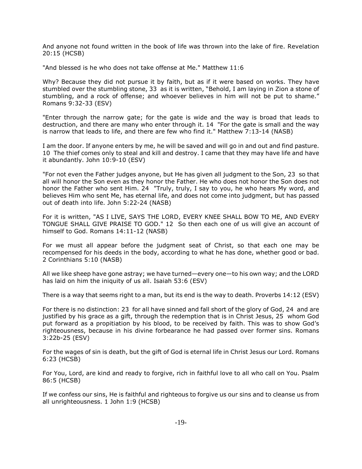And anyone not found written in the book of life was thrown into the lake of fire. Revelation 20:15 (HCSB)

"And blessed is he who does not take offense at Me." Matthew 11:6

Why? Because they did not pursue it by faith, but as if it were based on works. They have stumbled over the stumbling stone, 33 as it is written, "Behold, I am laying in Zion a stone of stumbling, and a rock of offense; and whoever believes in him will not be put to shame." Romans 9:32-33 (ESV)

"Enter through the narrow gate; for the gate is wide and the way is broad that leads to destruction, and there are many who enter through it. 14 "For the gate is small and the way is narrow that leads to life, and there are few who find it." Matthew 7:13-14 (NASB)

I am the door. If anyone enters by me, he will be saved and will go in and out and find pasture. 10 The thief comes only to steal and kill and destroy. I came that they may have life and have it abundantly. John 10:9-10 (ESV)

"For not even the Father judges anyone, but He has given all judgment to the Son, 23 so that all will honor the Son even as they honor the Father. He who does not honor the Son does not honor the Father who sent Him. 24 "Truly, truly, I say to you, he who hears My word, and believes Him who sent Me, has eternal life, and does not come into judgment, but has passed out of death into life. John 5:22-24 (NASB)

For it is written, "AS I LIVE, SAYS THE LORD, EVERY KNEE SHALL BOW TO ME, AND EVERY TONGUE SHALL GIVE PRAISE TO GOD." 12 So then each one of us will give an account of himself to God. Romans 14:11-12 (NASB)

For we must all appear before the judgment seat of Christ, so that each one may be recompensed for his deeds in the body, according to what he has done, whether good or bad. 2 Corinthians 5:10 (NASB)

All we like sheep have gone astray; we have turned—every one—to his own way; and the LORD has laid on him the iniquity of us all. Isaiah 53:6 (ESV)

There is a way that seems right to a man, but its end is the way to death. Proverbs 14:12 (ESV)

For there is no distinction: 23 for all have sinned and fall short of the glory of God, 24 and are justified by his grace as a gift, through the redemption that is in Christ Jesus, 25 whom God put forward as a propitiation by his blood, to be received by faith. This was to show God's righteousness, because in his divine forbearance he had passed over former sins. Romans 3:22b-25 (ESV)

For the wages of sin is death, but the gift of God is eternal life in Christ Jesus our Lord. Romans 6:23 (HCSB)

For You, Lord, are kind and ready to forgive, rich in faithful love to all who call on You. Psalm 86:5 (HCSB)

If we confess our sins, He is faithful and righteous to forgive us our sins and to cleanse us from all unrighteousness. 1 John 1:9 (HCSB)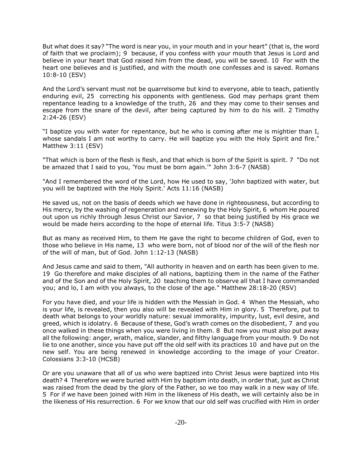But what does it say? "The word is near you, in your mouth and in your heart" (that is, the word of faith that we proclaim); 9 because, if you confess with your mouth that Jesus is Lord and believe in your heart that God raised him from the dead, you will be saved. 10 For with the heart one believes and is justified, and with the mouth one confesses and is saved. Romans 10:8-10 (ESV)

And the Lord's servant must not be quarrelsome but kind to everyone, able to teach, patiently enduring evil, 25 correcting his opponents with gentleness. God may perhaps grant them repentance leading to a knowledge of the truth, 26 and they may come to their senses and escape from the snare of the devil, after being captured by him to do his will. 2 Timothy 2:24-26 (ESV)

"I baptize you with water for repentance, but he who is coming after me is mightier than I, whose sandals I am not worthy to carry. He will baptize you with the Holy Spirit and fire." Matthew 3:11 (ESV)

"That which is born of the flesh is flesh, and that which is born of the Spirit is spirit. 7 "Do not be amazed that I said to you, 'You must be born again.'" John 3:6-7 (NASB)

"And I remembered the word of the Lord, how He used to say, 'John baptized with water, but you will be baptized with the Holy Spirit.' Acts 11:16 (NASB)

He saved us, not on the basis of deeds which we have done in righteousness, but according to His mercy, by the washing of regeneration and renewing by the Holy Spirit, 6 whom He poured out upon us richly through Jesus Christ our Savior, 7 so that being justified by His grace we would be made heirs according to the hope of eternal life. Titus 3:5-7 (NASB)

But as many as received Him, to them He gave the right to become children of God, even to those who believe in His name, 13 who were born, not of blood nor of the will of the flesh nor of the will of man, but of God. John 1:12-13 (NASB)

And Jesus came and said to them, "All authority in heaven and on earth has been given to me. 19 Go therefore and make disciples of all nations, baptizing them in the name of the Father and of the Son and of the Holy Spirit, 20 teaching them to observe all that I have commanded you; and lo, I am with you always, to the close of the age." Matthew 28:18-20 (RSV)

For you have died, and your life is hidden with the Messiah in God. 4 When the Messiah, who is your life, is revealed, then you also will be revealed with Him in glory. 5 Therefore, put to death what belongs to your worldly nature: sexual immorality, impurity, lust, evil desire, and greed, which is idolatry. 6 Because of these, God's wrath comes on the disobedient, 7 and you once walked in these things when you were living in them. 8 But now you must also put away all the following: anger, wrath, malice, slander, and filthy language from your mouth. 9 Do not lie to one another, since you have put off the old self with its practices 10 and have put on the new self. You are being renewed in knowledge according to the image of your Creator. Colossians 3:3-10 (HCSB)

Or are you unaware that all of us who were baptized into Christ Jesus were baptized into His death? 4 Therefore we were buried with Him by baptism into death, in order that, just as Christ was raised from the dead by the glory of the Father, so we too may walk in a new way of life. 5 For if we have been joined with Him in the likeness of His death, we will certainly also be in the likeness of His resurrection. 6 For we know that our old self was crucified with Him in order